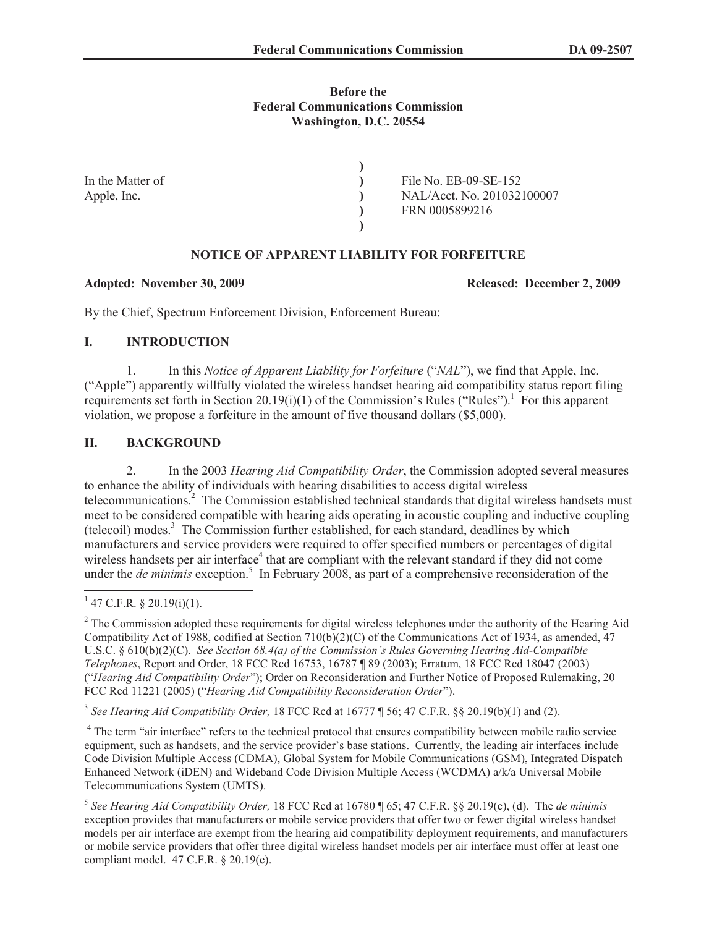#### **Before the Federal Communications Commission Washington, D.C. 20554**

| In the Matter of | File No. EB-09-SE-152      |
|------------------|----------------------------|
| Apple, Inc.      | NAL/Acct. No. 201032100007 |
|                  | FRN 0005899216             |
|                  |                            |

# **NOTICE OF APPARENT LIABILITY FOR FORFEITURE**

#### **Adopted: November 30, 2009 Released: December 2, 2009**

By the Chief, Spectrum Enforcement Division, Enforcement Bureau:

## **I. INTRODUCTION**

1. In this *Notice of Apparent Liability for Forfeiture* ("*NAL*"), we find that Apple, Inc. ("Apple") apparently willfully violated the wireless handset hearing aid compatibility status report filing requirements set forth in Section  $20.19(i)(1)$  of the Commission's Rules ("Rules").<sup>1</sup> For this apparent violation, we propose a forfeiture in the amount of five thousand dollars (\$5,000).

## **II. BACKGROUND**

2. In the 2003 *Hearing Aid Compatibility Order*, the Commission adopted several measures to enhance the ability of individuals with hearing disabilities to access digital wireless telecommunications.<sup>2</sup> The Commission established technical standards that digital wireless handsets must meet to be considered compatible with hearing aids operating in acoustic coupling and inductive coupling (telecoil) modes. $3$  The Commission further established, for each standard, deadlines by which manufacturers and service providers were required to offer specified numbers or percentages of digital wireless handsets per air interface<sup>4</sup> that are compliant with the relevant standard if they did not come under the *de minimis* exception.<sup>5</sup> In February 2008, as part of a comprehensive reconsideration of the

3 *See Hearing Aid Compatibility Order,* 18 FCC Rcd at 16777 ¶ 56; 47 C.F.R. §§ 20.19(b)(1) and (2).

<sup>4</sup> The term "air interface" refers to the technical protocol that ensures compatibility between mobile radio service equipment, such as handsets, and the service provider's base stations. Currently, the leading air interfaces include Code Division Multiple Access (CDMA), Global System for Mobile Communications (GSM), Integrated Dispatch Enhanced Network (iDEN) and Wideband Code Division Multiple Access (WCDMA) a/k/a Universal Mobile Telecommunications System (UMTS).

 $1$  47 C.F.R. § 20.19(i)(1).

<sup>&</sup>lt;sup>2</sup> The Commission adopted these requirements for digital wireless telephones under the authority of the Hearing Aid Compatibility Act of 1988, codified at Section 710(b)(2)(C) of the Communications Act of 1934, as amended, 47 U.S.C. § 610(b)(2)(C). *See Section 68.4(a) of the Commission's Rules Governing Hearing Aid-Compatible Telephones*, Report and Order, 18 FCC Rcd 16753, 16787 ¶ 89 (2003); Erratum, 18 FCC Rcd 18047 (2003) ("*Hearing Aid Compatibility Order*"); Order on Reconsideration and Further Notice of Proposed Rulemaking, 20 FCC Rcd 11221 (2005) ("*Hearing Aid Compatibility Reconsideration Order*").

<sup>5</sup> *See Hearing Aid Compatibility Order,* 18 FCC Rcd at 16780 ¶ 65; 47 C.F.R. §§ 20.19(c), (d). The *de minimis*  exception provides that manufacturers or mobile service providers that offer two or fewer digital wireless handset models per air interface are exempt from the hearing aid compatibility deployment requirements, and manufacturers or mobile service providers that offer three digital wireless handset models per air interface must offer at least one compliant model. 47 C.F.R. § 20.19(e).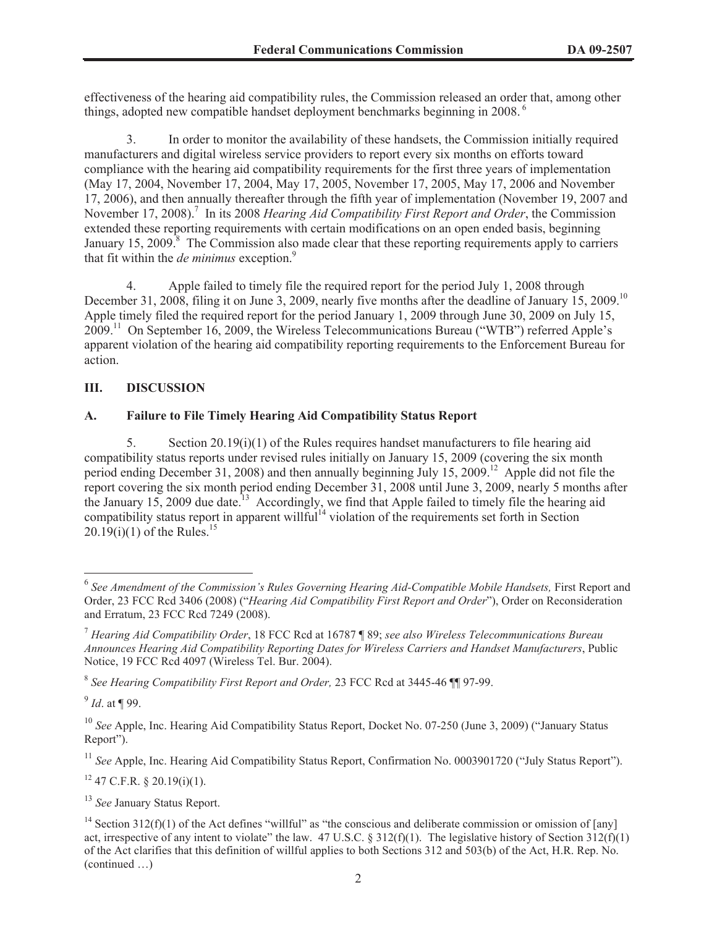effectiveness of the hearing aid compatibility rules, the Commission released an order that, among other things, adopted new compatible handset deployment benchmarks beginning in 2008.<sup>6</sup>

3. In order to monitor the availability of these handsets, the Commission initially required manufacturers and digital wireless service providers to report every six months on efforts toward compliance with the hearing aid compatibility requirements for the first three years of implementation (May 17, 2004, November 17, 2004, May 17, 2005, November 17, 2005, May 17, 2006 and November 17, 2006), and then annually thereafter through the fifth year of implementation (November 19, 2007 and November 17, 2008).<sup>7</sup> In its 2008 *Hearing Aid Compatibility First Report and Order*, the Commission extended these reporting requirements with certain modifications on an open ended basis, beginning January 15, 2009. $\frac{8}{3}$  The Commission also made clear that these reporting requirements apply to carriers that fit within the *de minimus* exception.<sup>9</sup>

4. Apple failed to timely file the required report for the period July 1, 2008 through December 31, 2008, filing it on June 3, 2009, nearly five months after the deadline of January 15, 2009.<sup>10</sup> Apple timely filed the required report for the period January 1, 2009 through June 30, 2009 on July 15, 2009.<sup>11</sup> On September 16, 2009, the Wireless Telecommunications Bureau ("WTB") referred Apple's apparent violation of the hearing aid compatibility reporting requirements to the Enforcement Bureau for action.

## **III. DISCUSSION**

## **A. Failure to File Timely Hearing Aid Compatibility Status Report**

5. Section 20.19(i)(1) of the Rules requires handset manufacturers to file hearing aid compatibility status reports under revised rules initially on January 15, 2009 (covering the six month period ending December 31, 2008) and then annually beginning July 15, 2009.<sup>12</sup> Apple did not file the report covering the six month period ending December 31, 2008 until June 3, 2009, nearly 5 months after the January 15, 2009 due date.<sup>13</sup> Accordingly, we find that Apple failed to timely file the hearing aid compatibility status report in apparent willful<sup>14</sup> violation of the requirements set forth in Section  $20.19(i)(1)$  of the Rules.<sup>15</sup>

9 *Id*. at ¶ 99.

<sup>11</sup> See Apple, Inc. Hearing Aid Compatibility Status Report, Confirmation No. 0003901720 ("July Status Report").

 $12$  47 C.F.R. § 20.19(i)(1).

<sup>13</sup> *See* January Status Report.

<sup>&</sup>lt;sup>6</sup> See Amendment of the Commission's Rules Governing Hearing Aid-Compatible Mobile Handsets, First Report and Order, 23 FCC Rcd 3406 (2008) ("*Hearing Aid Compatibility First Report and Order*"), Order on Reconsideration and Erratum, 23 FCC Rcd 7249 (2008).

<sup>7</sup> *Hearing Aid Compatibility Order*, 18 FCC Rcd at 16787 ¶ 89; *see also Wireless Telecommunications Bureau Announces Hearing Aid Compatibility Reporting Dates for Wireless Carriers and Handset Manufacturers*, Public Notice, 19 FCC Rcd 4097 (Wireless Tel. Bur. 2004).

<sup>8</sup> *See Hearing Compatibility First Report and Order,* 23 FCC Rcd at 3445-46 ¶¶ 97-99.

<sup>&</sup>lt;sup>10</sup> *See* Apple, Inc. Hearing Aid Compatibility Status Report, Docket No. 07-250 (June 3, 2009) ("January Status Report").

<sup>&</sup>lt;sup>14</sup> Section 312(f)(1) of the Act defines "willful" as "the conscious and deliberate commission or omission of [any] act, irrespective of any intent to violate" the law. 47 U.S.C. § 312(f)(1). The legislative history of Section 312(f)(1) of the Act clarifies that this definition of willful applies to both Sections 312 and 503(b) of the Act, H.R. Rep. No. (continued …)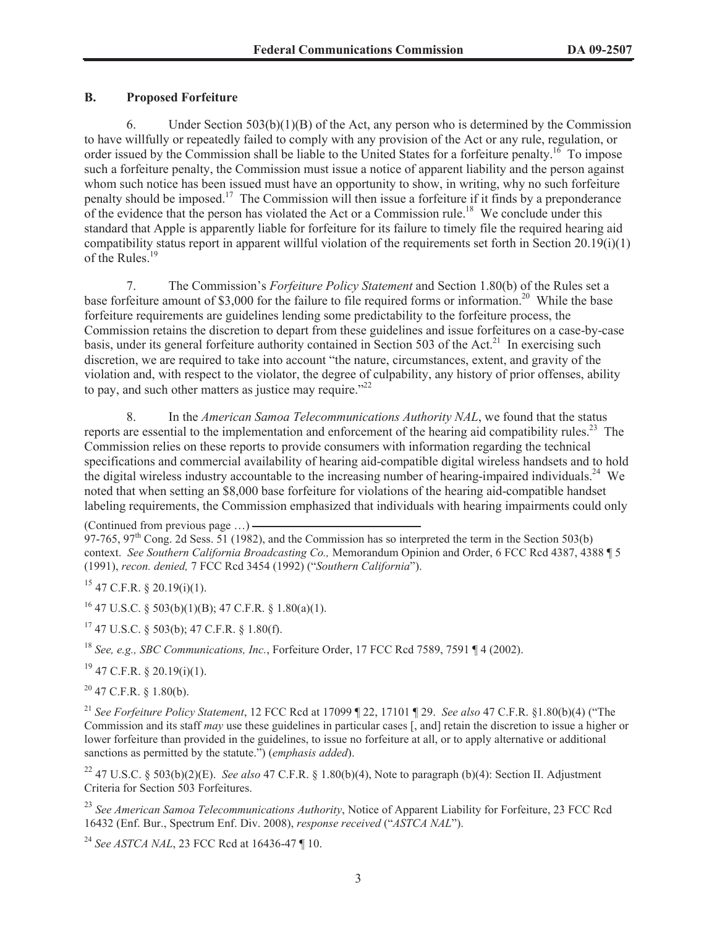## **B. Proposed Forfeiture**

6. Under Section  $503(b)(1)(B)$  of the Act, any person who is determined by the Commission to have willfully or repeatedly failed to comply with any provision of the Act or any rule, regulation, or order issued by the Commission shall be liable to the United States for a forfeiture penalty.<sup>16</sup> To impose such a forfeiture penalty, the Commission must issue a notice of apparent liability and the person against whom such notice has been issued must have an opportunity to show, in writing, why no such forfeiture penalty should be imposed.<sup>17</sup> The Commission will then issue a forfeiture if it finds by a preponderance of the evidence that the person has violated the Act or a Commission rule.<sup>18</sup> We conclude under this standard that Apple is apparently liable for forfeiture for its failure to timely file the required hearing aid compatibility status report in apparent willful violation of the requirements set forth in Section  $20.19(i)(1)$ of the Rules.<sup>1</sup>

7. The Commission's *Forfeiture Policy Statement* and Section 1.80(b) of the Rules set a base forfeiture amount of \$3,000 for the failure to file required forms or information.<sup>20</sup> While the base forfeiture requirements are guidelines lending some predictability to the forfeiture process, the Commission retains the discretion to depart from these guidelines and issue forfeitures on a case-by-case basis, under its general forfeiture authority contained in Section 503 of the Act.<sup>21</sup> In exercising such discretion, we are required to take into account "the nature, circumstances, extent, and gravity of the violation and, with respect to the violator, the degree of culpability, any history of prior offenses, ability to pay, and such other matters as justice may require."<sup>22</sup>

8. In the *American Samoa Telecommunications Authority NAL*, we found that the status reports are essential to the implementation and enforcement of the hearing aid compatibility rules.<sup>23</sup> The Commission relies on these reports to provide consumers with information regarding the technical specifications and commercial availability of hearing aid-compatible digital wireless handsets and to hold the digital wireless industry accountable to the increasing number of hearing-impaired individuals.<sup>24</sup> We noted that when setting an \$8,000 base forfeiture for violations of the hearing aid-compatible handset labeling requirements, the Commission emphasized that individuals with hearing impairments could only

(Continued from previous page …)

97-765, 97<sup>th</sup> Cong. 2d Sess. 51 (1982), and the Commission has so interpreted the term in the Section 503(b) context. *See Southern California Broadcasting Co.,* Memorandum Opinion and Order, 6 FCC Rcd 4387, 4388 ¶ 5 (1991), *recon. denied,* 7 FCC Rcd 3454 (1992) ("*Southern California*").

 $^{15}$  47 C.F.R. § 20.19(i)(1).

 $^{16}$  47 U.S.C. § 503(b)(1)(B); 47 C.F.R. § 1.80(a)(1).

 $17$  47 U.S.C. § 503(b); 47 C.F.R. § 1.80(f).

<sup>18</sup> *See, e.g., SBC Communications, Inc.*, Forfeiture Order, 17 FCC Rcd 7589, 7591 ¶ 4 (2002).

 $19$  47 C.F.R. § 20.19(i)(1).

 $20$  47 C.F.R. § 1.80(b).

<sup>21</sup> *See Forfeiture Policy Statement*, 12 FCC Rcd at 17099 ¶ 22, 17101 ¶ 29. *See also* 47 C.F.R. §1.80(b)(4) ("The Commission and its staff *may* use these guidelines in particular cases [, and] retain the discretion to issue a higher or lower forfeiture than provided in the guidelines, to issue no forfeiture at all, or to apply alternative or additional sanctions as permitted by the statute.") (*emphasis added*).

<sup>22</sup> 47 U.S.C. § 503(b)(2)(E). *See also* 47 C.F.R. § 1.80(b)(4), Note to paragraph (b)(4): Section II. Adjustment Criteria for Section 503 Forfeitures.

<sup>23</sup> *See American Samoa Telecommunications Authority*, Notice of Apparent Liability for Forfeiture, 23 FCC Rcd 16432 (Enf. Bur., Spectrum Enf. Div. 2008), *response received* ("*ASTCA NAL*").

<sup>24</sup> *See ASTCA NAL*, 23 FCC Rcd at 16436-47 ¶ 10.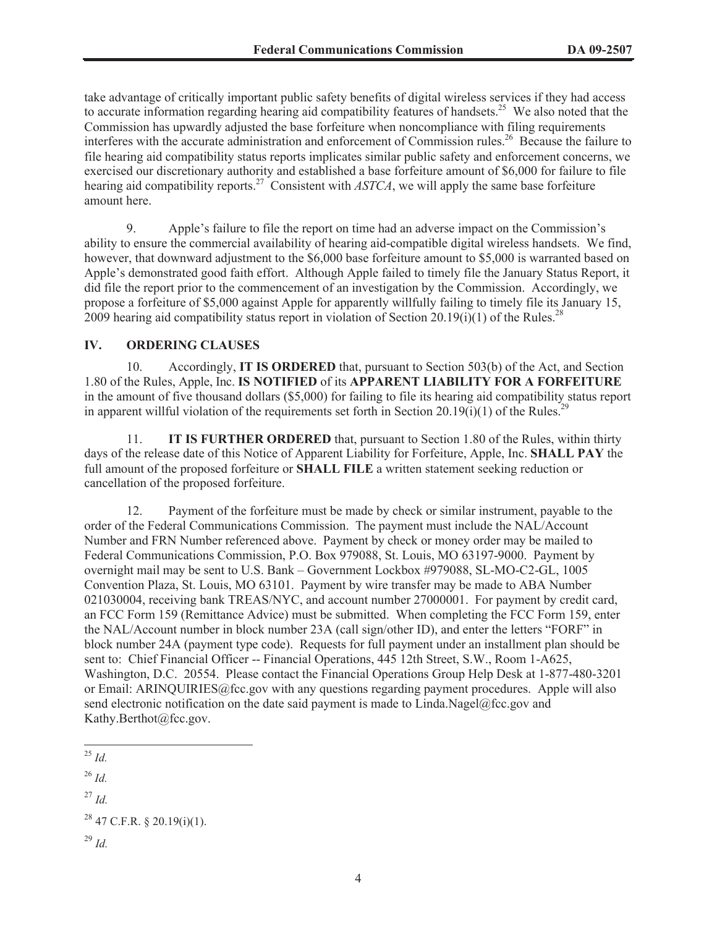take advantage of critically important public safety benefits of digital wireless services if they had access to accurate information regarding hearing aid compatibility features of handsets.<sup>25</sup> We also noted that the Commission has upwardly adjusted the base forfeiture when noncompliance with filing requirements interferes with the accurate administration and enforcement of Commission rules.<sup>26</sup> Because the failure to file hearing aid compatibility status reports implicates similar public safety and enforcement concerns, we exercised our discretionary authority and established a base forfeiture amount of \$6,000 for failure to file hearing aid compatibility reports.<sup>27</sup> Consistent with *ASTCA*, we will apply the same base forfeiture amount here.

9. Apple's failure to file the report on time had an adverse impact on the Commission's ability to ensure the commercial availability of hearing aid-compatible digital wireless handsets. We find, however, that downward adjustment to the \$6,000 base forfeiture amount to \$5,000 is warranted based on Apple's demonstrated good faith effort. Although Apple failed to timely file the January Status Report, it did file the report prior to the commencement of an investigation by the Commission. Accordingly, we propose a forfeiture of \$5,000 against Apple for apparently willfully failing to timely file its January 15, 2009 hearing aid compatibility status report in violation of Section 20.19(i)(1) of the Rules.<sup>28</sup>

#### **IV. ORDERING CLAUSES**

10. Accordingly, **IT IS ORDERED** that, pursuant to Section 503(b) of the Act, and Section 1.80 of the Rules, Apple, Inc. **IS NOTIFIED** of its **APPARENT LIABILITY FOR A FORFEITURE** in the amount of five thousand dollars (\$5,000) for failing to file its hearing aid compatibility status report in apparent willful violation of the requirements set forth in Section 20.19(i)(1) of the Rules.<sup>29</sup>

11. **IT IS FURTHER ORDERED** that, pursuant to Section 1.80 of the Rules, within thirty days of the release date of this Notice of Apparent Liability for Forfeiture, Apple, Inc. **SHALL PAY** the full amount of the proposed forfeiture or **SHALL FILE** a written statement seeking reduction or cancellation of the proposed forfeiture.

12. Payment of the forfeiture must be made by check or similar instrument, payable to the order of the Federal Communications Commission. The payment must include the NAL/Account Number and FRN Number referenced above. Payment by check or money order may be mailed to Federal Communications Commission, P.O. Box 979088, St. Louis, MO 63197-9000. Payment by overnight mail may be sent to U.S. Bank – Government Lockbox #979088, SL-MO-C2-GL, 1005 Convention Plaza, St. Louis, MO 63101. Payment by wire transfer may be made to ABA Number 021030004, receiving bank TREAS/NYC, and account number 27000001. For payment by credit card, an FCC Form 159 (Remittance Advice) must be submitted. When completing the FCC Form 159, enter the NAL/Account number in block number 23A (call sign/other ID), and enter the letters "FORF" in block number 24A (payment type code). Requests for full payment under an installment plan should be sent to: Chief Financial Officer -- Financial Operations, 445 12th Street, S.W., Room 1-A625, Washington, D.C. 20554. Please contact the Financial Operations Group Help Desk at 1-877-480-3201 or Email: ARINQUIRIES@fcc.gov with any questions regarding payment procedures. Apple will also send electronic notification on the date said payment is made to Linda.Nagel@fcc.gov and Kathy.Berthot@fcc.gov.

<sup>25</sup> *Id.*

<sup>26</sup> *Id.*

<sup>27</sup> *Id.*

 $^{28}$  47 C.F.R. § 20.19(i)(1).

 $^{29}$  *Id.*